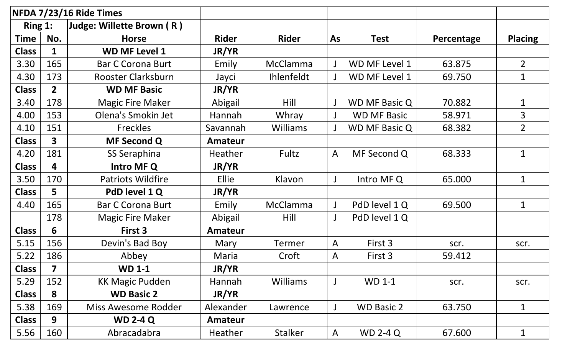| NFDA 7/23/16 Ride Times |                         |                           |                |                   |              |                      |            |                |
|-------------------------|-------------------------|---------------------------|----------------|-------------------|--------------|----------------------|------------|----------------|
| Ring 1:                 |                         | Judge: Willette Brown (R) |                |                   |              |                      |            |                |
| <b>Time</b>             | No.                     | <b>Horse</b>              | <b>Rider</b>   | <b>Rider</b>      | <b>As</b>    | <b>Test</b>          | Percentage | <b>Placing</b> |
| <b>Class</b>            |                         | <b>WD MF Level 1</b>      | JR/YR          |                   |              |                      |            |                |
| 3.30                    | 165                     | <b>Bar C Corona Burt</b>  | Emily          | <b>McClamma</b>   |              | WD MF Level 1        | 63.875     | $\overline{2}$ |
| 4.30                    | 173                     | Rooster Clarksburn        | Jayci          | <b>Ihlenfeldt</b> |              | WD MF Level 1        | 69.750     | $\mathbf{1}$   |
| <b>Class</b>            | $\overline{2}$          | <b>WD MF Basic</b>        | JR/YR          |                   |              |                      |            |                |
| 3.40                    | 178                     | <b>Magic Fire Maker</b>   | Abigail        | Hill              |              | WD MF Basic Q        | 70.882     | 1              |
| 4.00                    | 153                     | Olena's Smokin Jet        | Hannah         | Whray             |              | <b>WD MF Basic</b>   | 58.971     | 3              |
| 4.10                    | 151                     | <b>Freckles</b>           | Savannah       | <b>Williams</b>   |              | <b>WD MF Basic Q</b> | 68.382     | $\overline{2}$ |
| <b>Class</b>            | $\overline{\mathbf{3}}$ | <b>MF Second Q</b>        | Amateur        |                   |              |                      |            |                |
| 4.20                    | 181                     | SS Seraphina              | <b>Heather</b> | Fultz             | $\mathsf{A}$ | MF Second Q          | 68.333     | $\mathbf 1$    |
| <b>Class</b>            | 4                       | Intro MF Q                | JR/YR          |                   |              |                      |            |                |
| 3.50                    | 170                     | <b>Patriots Wildfire</b>  | <b>Ellie</b>   | Klavon            |              | Intro MF Q           | 65.000     | $\mathbf 1$    |
| <b>Class</b>            | 5                       | PdD level 1 Q             | JR/YR          |                   |              |                      |            |                |
| 4.40                    | 165                     | <b>Bar C Corona Burt</b>  | Emily          | <b>McClamma</b>   |              | PdD level 1 Q        | 69.500     | $\mathbf 1$    |
|                         | 178                     | <b>Magic Fire Maker</b>   | Abigail        | Hill              |              | PdD level 1 Q        |            |                |
| <b>Class</b>            | 6                       | First 3                   | <b>Amateur</b> |                   |              |                      |            |                |
| 5.15                    | 156                     | Devin's Bad Boy           | Mary           | <b>Termer</b>     | $\mathsf{A}$ | First 3              | scr.       | scr.           |
| 5.22                    | 186                     | Abbey                     | Maria          | Croft             | $\mathsf{A}$ | First 3              | 59.412     |                |
| <b>Class</b>            | $\overline{\mathbf{z}}$ | <b>WD 1-1</b>             | JR/YR          |                   |              |                      |            |                |
| 5.29                    | 152                     | <b>KK Magic Pudden</b>    | Hannah         | Williams          |              | <b>WD 1-1</b>        | scr.       | scr.           |
| <b>Class</b>            | 8                       | <b>WD Basic 2</b>         | JR/YR          |                   |              |                      |            |                |
| 5.38                    | 169                     | Miss Awesome Rodder       | Alexander      | Lawrence          |              | <b>WD Basic 2</b>    | 63.750     | $\mathbf 1$    |
| <b>Class</b>            | 9                       | <b>WD 2-4 Q</b>           | Amateur        |                   |              |                      |            |                |
| 5.56                    | 160                     | Abracadabra               | <b>Heather</b> | <b>Stalker</b>    | $\mathsf{A}$ | <b>WD 2-4 Q</b>      | 67.600     | $\mathbf 1$    |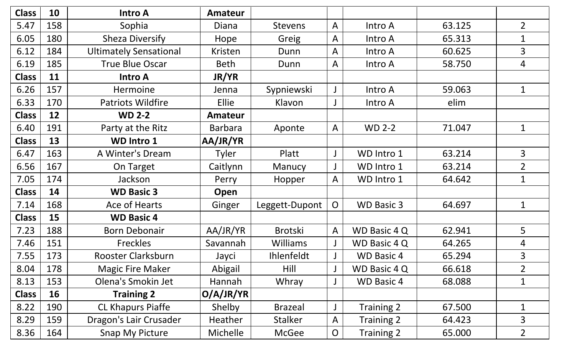| <b>Class</b> | 10  | <b>Intro A</b>                | Amateur         |                 |                |                     |        |                |
|--------------|-----|-------------------------------|-----------------|-----------------|----------------|---------------------|--------|----------------|
| 5.47         | 158 | Sophia                        | Diana           | <b>Stevens</b>  | $\mathsf{A}$   | Intro A             | 63.125 | $\overline{2}$ |
| 6.05         | 180 | <b>Sheza Diversify</b>        | Hope            | Greig           | A              | Intro A             | 65.313 |                |
| 6.12         | 184 | <b>Ultimately Sensational</b> | Kristen         | Dunn            | $\mathsf{A}$   | Intro A             | 60.625 | 3              |
| 6.19         | 185 | <b>True Blue Oscar</b>        | <b>Beth</b>     | Dunn            | A              | Intro A             | 58.750 | 4              |
| <b>Class</b> | 11  | <b>Intro A</b>                | <b>JR/YR</b>    |                 |                |                     |        |                |
| 6.26         | 157 | Hermoine                      | Jenna           | Sypniewski      |                | Intro A             | 59.063 | $\mathbf 1$    |
| 6.33         | 170 | <b>Patriots Wildfire</b>      | Ellie           | Klavon          |                | Intro A             | elim   |                |
| <b>Class</b> | 12  | <b>WD 2-2</b>                 | <b>Amateur</b>  |                 |                |                     |        |                |
| 6.40         | 191 | Party at the Ritz             | <b>Barbara</b>  | Aponte          | $\mathsf{A}$   | <b>WD 2-2</b>       | 71.047 | 1              |
| <b>Class</b> | 13  | <b>WD Intro 1</b>             | AA/JR/YR        |                 |                |                     |        |                |
| 6.47         | 163 | A Winter's Dream              | <b>Tyler</b>    | Platt           |                | WD Intro 1          | 63.214 | $\overline{3}$ |
| 6.56         | 167 | On Target                     | Caitlynn        | Manucy          |                | WD Intro 1          | 63.214 | $\overline{2}$ |
| 7.05         | 174 | Jackson                       | Perry           | Hopper          | A              | WD Intro 1          | 64.642 | $\mathbf{1}$   |
| <b>Class</b> | 14  | <b>WD Basic 3</b>             | Open            |                 |                |                     |        |                |
| 7.14         | 168 | Ace of Hearts                 | Ginger          | Leggett-Dupont  | $\overline{O}$ | <b>WD Basic 3</b>   | 64.697 | $\mathbf 1$    |
| <b>Class</b> | 15  | <b>WD Basic 4</b>             |                 |                 |                |                     |        |                |
| 7.23         | 188 | <b>Born Debonair</b>          | AA/JR/YR        | <b>Brotski</b>  | $\mathsf{A}$   | WD Basic 4 Q        | 62.941 | 5              |
| 7.46         | 151 | Freckles                      | Savannah        | <b>Williams</b> |                | <b>WD Basic 4 Q</b> | 64.265 | 4              |
| 7.55         | 173 | Rooster Clarksburn            | Jayci           | Ihlenfeldt      |                | <b>WD Basic 4</b>   | 65.294 | 3              |
| 8.04         | 178 | <b>Magic Fire Maker</b>       | Abigail         | Hill            |                | WD Basic 4 Q        | 66.618 | $\overline{2}$ |
| 8.13         | 153 | Olena's Smokin Jet            | Hannah          | Whray           |                | <b>WD Basic 4</b>   | 68.088 | 1              |
| <b>Class</b> | 16  | <b>Training 2</b>             | O/A/JR/YR       |                 |                |                     |        |                |
| 8.22         | 190 | <b>CL Khapurs Piaffe</b>      | Shelby          | <b>Brazeal</b>  |                | Training 2          | 67.500 | 1              |
| 8.29         | 159 | Dragon's Lair Crusader        | Heather         | <b>Stalker</b>  | A              | Training 2          | 64.423 | 3              |
| 8.36         | 164 | Snap My Picture               | <b>Michelle</b> | McGee           | $\overline{O}$ | Training 2          | 65.000 | $\overline{2}$ |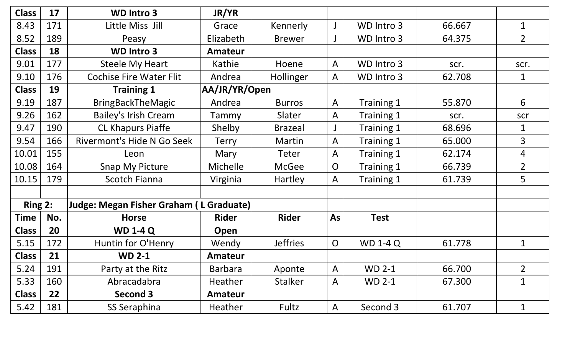| <b>Class</b> | 17  | <b>WD Intro 3</b>                              | JR/YR           |                 |                |                 |        |                |
|--------------|-----|------------------------------------------------|-----------------|-----------------|----------------|-----------------|--------|----------------|
| 8.43         | 171 | Little Miss Jill                               | Grace           | Kennerly        |                | WD Intro 3      | 66.667 | $\mathbf 1$    |
| 8.52         | 189 | Peasy                                          | Elizabeth       | <b>Brewer</b>   |                | WD Intro 3      | 64.375 | $\overline{2}$ |
| <b>Class</b> | 18  | <b>WD Intro 3</b>                              | Amateur         |                 |                |                 |        |                |
| 9.01         | 177 | <b>Steele My Heart</b>                         | Kathie          | Hoene           | $\mathsf{A}$   | WD Intro 3      | scr.   | scr.           |
| 9.10         | 176 | <b>Cochise Fire Water Flit</b>                 | Andrea          | Hollinger       | $\mathsf{A}$   | WD Intro 3      | 62.708 | 1              |
| <b>Class</b> | 19  | <b>Training 1</b>                              | AA/JR/YR/Open   |                 |                |                 |        |                |
| 9.19         | 187 | <b>BringBackTheMagic</b>                       | Andrea          | <b>Burros</b>   | $\mathsf{A}$   | Training 1      | 55.870 | 6              |
| 9.26         | 162 | <b>Bailey's Irish Cream</b>                    | Tammy           | Slater          | $\mathsf{A}$   | Training 1      | scr.   | scr            |
| 9.47         | 190 | <b>CL Khapurs Piaffe</b>                       | Shelby          | <b>Brazeal</b>  |                | Training 1      | 68.696 |                |
| 9.54         | 166 | Rivermont's Hide N Go Seek                     | Terry           | Martin          | $\mathsf{A}$   | Training 1      | 65.000 | 3              |
| 10.01        | 155 | Leon                                           | Mary            | Teter           | A              | Training 1      | 62.174 | 4              |
| 10.08        | 164 | <b>Snap My Picture</b>                         | <b>Michelle</b> | <b>McGee</b>    | $\overline{O}$ | Training 1      | 66.739 | $\overline{2}$ |
| 10.15        | 179 | <b>Scotch Fianna</b>                           | Virginia        | Hartley         | $\mathsf{A}$   | Training 1      | 61.739 | 5              |
|              |     |                                                |                 |                 |                |                 |        |                |
| Ring 2:      |     | <b>Judge: Megan Fisher Graham (L Graduate)</b> |                 |                 |                |                 |        |                |
| <b>Time</b>  | No. | <b>Horse</b>                                   | <b>Rider</b>    | <b>Rider</b>    | <b>As</b>      | <b>Test</b>     |        |                |
| <b>Class</b> | 20  | <b>WD 1-4 Q</b>                                | Open            |                 |                |                 |        |                |
| 5.15         | 172 | Huntin for O'Henry                             | Wendy           | <b>Jeffries</b> | $\overline{O}$ | <b>WD 1-4 Q</b> | 61.778 | 1              |
| <b>Class</b> | 21  | <b>WD 2-1</b>                                  | <b>Amateur</b>  |                 |                |                 |        |                |
| 5.24         | 191 | Party at the Ritz                              | <b>Barbara</b>  | Aponte          | $\mathsf{A}$   | $WD 2-1$        | 66.700 | $\overline{2}$ |
| 5.33         | 160 | Abracadabra                                    | <b>Heather</b>  | <b>Stalker</b>  | $\mathsf{A}$   | <b>WD 2-1</b>   | 67.300 | $\mathbf 1$    |
| <b>Class</b> | 22  | Second 3                                       | Amateur         |                 |                |                 |        |                |
| $5.42$       | 181 | SS Seraphina                                   | Heather         | Fultz           | $\mathsf{A}$   | Second 3        | 61.707 | 1              |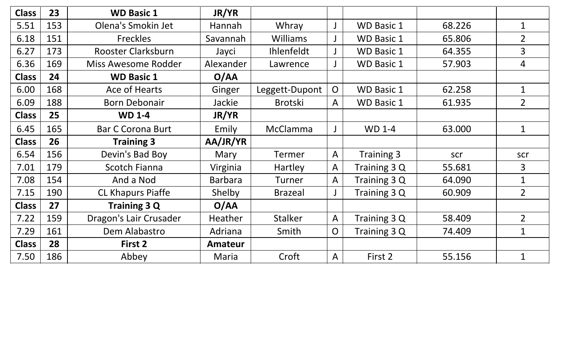| <b>Class</b> | 23  | <b>WD Basic 1</b>        | JR/YR          |                 |                |                   |        |                |
|--------------|-----|--------------------------|----------------|-----------------|----------------|-------------------|--------|----------------|
| 5.51         | 153 | Olena's Smokin Jet       | Hannah         | Whray           |                | <b>WD Basic 1</b> | 68.226 | $\mathbf 1$    |
| 6.18         | 151 | <b>Freckles</b>          | Savannah       | <b>Williams</b> |                | <b>WD Basic 1</b> | 65.806 | $\overline{2}$ |
| 6.27         | 173 | Rooster Clarksburn       | Jayci          | Ihlenfeldt      |                | <b>WD Basic 1</b> | 64.355 | $\overline{3}$ |
| 6.36         | 169 | Miss Awesome Rodder      | Alexander      | Lawrence        |                | <b>WD Basic 1</b> | 57.903 | $\overline{4}$ |
| <b>Class</b> | 24  | <b>WD Basic 1</b>        | O/AA           |                 |                |                   |        |                |
| 6.00         | 168 | Ace of Hearts            | Ginger         | Leggett-Dupont  | $\overline{O}$ | <b>WD Basic 1</b> | 62.258 | $\mathbf{1}$   |
| 6.09         | 188 | <b>Born Debonair</b>     | Jackie         | <b>Brotski</b>  | A              | <b>WD Basic 1</b> | 61.935 | $\overline{2}$ |
| <b>Class</b> | 25  | <b>WD 1-4</b>            | JR/YR          |                 |                |                   |        |                |
| 6.45         | 165 | <b>Bar C Corona Burt</b> | Emily          | McClamma        | J              | <b>WD 1-4</b>     | 63.000 | $\mathbf 1$    |
| <b>Class</b> | 26  | <b>Training 3</b>        | AA/JR/YR       |                 |                |                   |        |                |
| 6.54         | 156 | Devin's Bad Boy          | Mary           | Termer          | $\mathsf{A}$   | Training 3        | scr    | scr            |
| 7.01         | 179 | <b>Scotch Fianna</b>     | Virginia       | Hartley         | $\mathsf{A}$   | Training 3 Q      | 55.681 | $\overline{3}$ |
| 7.08         | 154 | And a Nod                | <b>Barbara</b> | <b>Turner</b>   | A              | Training 3 Q      | 64.090 | $\mathbf 1$    |
| 7.15         | 190 | <b>CL Khapurs Piaffe</b> | Shelby         | <b>Brazeal</b>  |                | Training 3 Q      | 60.909 | $\overline{2}$ |
| <b>Class</b> | 27  | <b>Training 3 Q</b>      | O/AA           |                 |                |                   |        |                |
| 7.22         | 159 | Dragon's Lair Crusader   | <b>Heather</b> | <b>Stalker</b>  | $\mathsf{A}$   | Training 3 Q      | 58.409 | $\overline{2}$ |
| 7.29         | 161 | Dem Alabastro            | Adriana        | Smith           | $\overline{O}$ | Training 3 Q      | 74.409 | $\mathbf 1$    |
| <b>Class</b> | 28  | First 2                  | Amateur        |                 |                |                   |        |                |
| 7.50         | 186 | Abbey                    | Maria          | Croft           | A              | First 2           | 55.156 | $\mathbf{1}$   |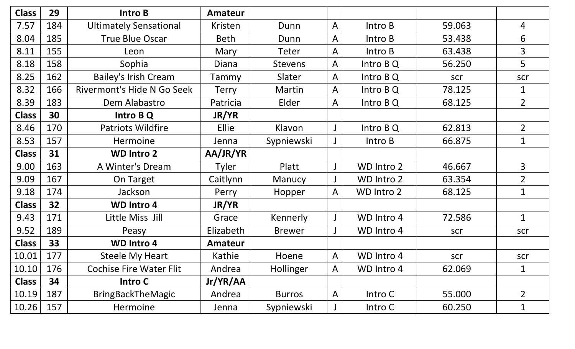| <b>Class</b> | 29  | Intro B                        | Amateur        |                |              |            |        |                |
|--------------|-----|--------------------------------|----------------|----------------|--------------|------------|--------|----------------|
| 7.57         | 184 | <b>Ultimately Sensational</b>  | Kristen        | Dunn           | $\mathsf{A}$ | Intro B    | 59.063 | 4              |
| 8.04         | 185 | <b>True Blue Oscar</b>         | <b>Beth</b>    | Dunn           | A            | Intro B    | 53.438 | 6              |
| 8.11         | 155 | Leon                           | Mary           | Teter          | $\mathsf{A}$ | Intro B    | 63.438 | 3              |
| 8.18         | 158 | Sophia                         | Diana          | <b>Stevens</b> | A            | Intro B Q  | 56.250 | 5              |
| 8.25         | 162 | <b>Bailey's Irish Cream</b>    | Tammy          | Slater         | $\mathsf{A}$ | Intro B Q  | scr    | scr            |
| 8.32         | 166 | Rivermont's Hide N Go Seek     | Terry          | <b>Martin</b>  | $\mathsf{A}$ | Intro B Q  | 78.125 | 1              |
| 8.39         | 183 | Dem Alabastro                  | Patricia       | Elder          | $\mathsf{A}$ | Intro B Q  | 68.125 | $\overline{2}$ |
| <b>Class</b> | 30  | Intro B Q                      | <b>JR/YR</b>   |                |              |            |        |                |
| 8.46         | 170 | <b>Patriots Wildfire</b>       | <b>Ellie</b>   | Klavon         |              | Intro B Q  | 62.813 | $\overline{2}$ |
| 8.53         | 157 | Hermoine                       | Jenna          | Sypniewski     |              | Intro B    | 66.875 | $\mathbf 1$    |
| <b>Class</b> | 31  | <b>WD Intro 2</b>              | AA/JR/YR       |                |              |            |        |                |
| 9.00         | 163 | A Winter's Dream               | Tyler          | Platt          |              | WD Intro 2 | 46.667 | $\overline{3}$ |
| 9.09         | 167 | On Target                      | Caitlynn       | Manucy         |              | WD Intro 2 | 63.354 | $\overline{2}$ |
| 9.18         | 174 | Jackson                        | Perry          | Hopper         | $\mathsf{A}$ | WD Intro 2 | 68.125 | $\mathbf 1$    |
| <b>Class</b> | 32  | <b>WD Intro 4</b>              | <b>JR/YR</b>   |                |              |            |        |                |
| 9.43         | 171 | Little Miss Jill               | Grace          | Kennerly       |              | WD Intro 4 | 72.586 | 1              |
| 9.52         | 189 | Peasy                          | Elizabeth      | <b>Brewer</b>  |              | WD Intro 4 | scr    | scr            |
| <b>Class</b> | 33  | <b>WD Intro 4</b>              | <b>Amateur</b> |                |              |            |        |                |
| 10.01        | 177 | <b>Steele My Heart</b>         | Kathie         | Hoene          | $\mathsf{A}$ | WD Intro 4 | scr    | scr            |
| 10.10        | 176 | <b>Cochise Fire Water Flit</b> | Andrea         | Hollinger      | $\mathsf{A}$ | WD Intro 4 | 62.069 | 1              |
| <b>Class</b> | 34  | <b>Intro C</b>                 | Jr/YR/AA       |                |              |            |        |                |
| 10.19        | 187 | <b>BringBackTheMagic</b>       | Andrea         | <b>Burros</b>  | $\mathsf{A}$ | Intro C    | 55.000 | $\overline{2}$ |
| 10.26        | 157 | Hermoine                       | Jenna          | Sypniewski     |              | Intro C    | 60.250 | 1              |